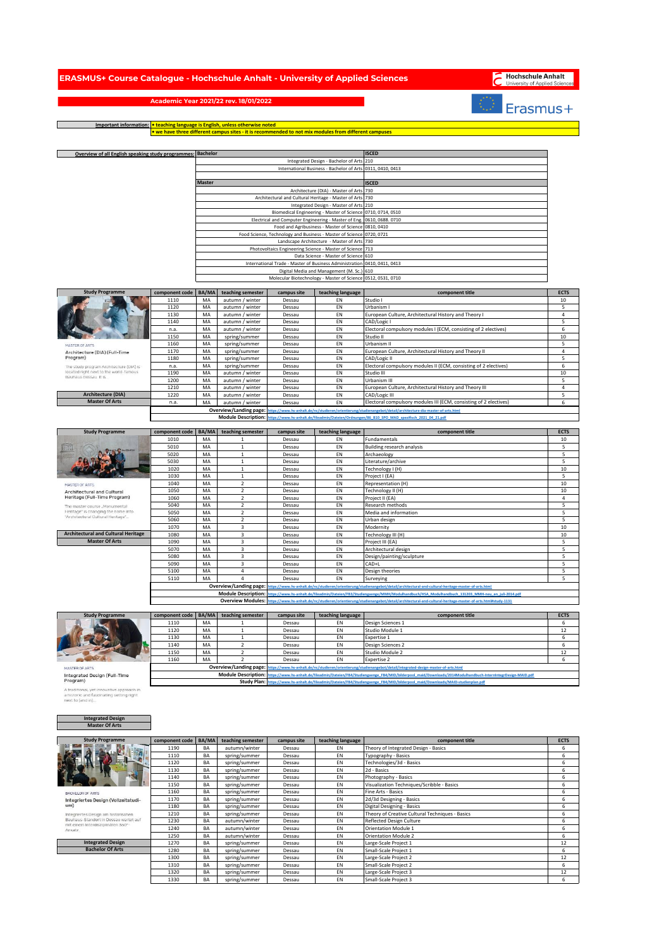| RASMUS+ Course Catalogue - Hochschule Anhalt - University of Applied Sciences |  |                                                                                                                                                                                                                                |  |  |
|-------------------------------------------------------------------------------|--|--------------------------------------------------------------------------------------------------------------------------------------------------------------------------------------------------------------------------------|--|--|
|                                                                               |  | the contract of the communications of the contract of the contract of the contract of the contract of the contract of the contract of the contract of the contract of the contract of the contract of the contract of the cont |  |  |

## Hochschule Anhalt

## Erasmus+

**Academic Year 2021/22 rev. 18/01/2022**

 $\Box$ 

**Important information: • teaching language is English, unless otherwise noted • we have three different campus sites - it is recommended to not mix modules from different campuses**

|                                                                          | Overview of all English speaking study programmes: | <b>Bachelor</b> |                                |                  |                                                                                                                     | <b>ISCED</b>                                                                                                                                                  |             |
|--------------------------------------------------------------------------|----------------------------------------------------|-----------------|--------------------------------|------------------|---------------------------------------------------------------------------------------------------------------------|---------------------------------------------------------------------------------------------------------------------------------------------------------------|-------------|
|                                                                          |                                                    |                 |                                |                  | Integrated Design - Bachelor of Arts                                                                                | 210                                                                                                                                                           |             |
|                                                                          |                                                    |                 |                                |                  | International Business - Bachelor of Arts                                                                           | 0311, 0410, 0413                                                                                                                                              |             |
|                                                                          |                                                    |                 |                                |                  |                                                                                                                     |                                                                                                                                                               |             |
|                                                                          |                                                    | Master          |                                |                  |                                                                                                                     | ISCED                                                                                                                                                         |             |
|                                                                          |                                                    |                 |                                |                  | Architecture (DIA) - Master of Arts                                                                                 | 730                                                                                                                                                           |             |
|                                                                          |                                                    |                 |                                |                  | Architectural and Cultural Heritage - Master of Arts                                                                | 730                                                                                                                                                           |             |
|                                                                          |                                                    |                 |                                |                  | Integrated Design - Master of Arts                                                                                  | 210                                                                                                                                                           |             |
|                                                                          |                                                    |                 |                                |                  | Biomedical Engineering - Master of Science<br>Electrical and Computer Engineering - Master of Eng. 0610, 0688. 0710 | 0710, 0714, 0510                                                                                                                                              |             |
|                                                                          |                                                    |                 |                                |                  | Food and Agribusiness - Master of Science 0810, 0410                                                                |                                                                                                                                                               |             |
|                                                                          |                                                    |                 |                                |                  | Food Science, Technology and Business - Master of Science 0720, 0721                                                |                                                                                                                                                               |             |
|                                                                          |                                                    |                 |                                |                  | Landscape Architecture - Master of Arts                                                                             | 730                                                                                                                                                           |             |
|                                                                          |                                                    |                 |                                |                  | Photovoltaics Engineering Science - Master of Science                                                               | 713                                                                                                                                                           |             |
|                                                                          |                                                    |                 |                                |                  | Data Science - Master of Science                                                                                    | 610                                                                                                                                                           |             |
|                                                                          |                                                    |                 |                                |                  | International Trade - Master of Business Administration 0410, 0411, 0413                                            |                                                                                                                                                               |             |
|                                                                          |                                                    |                 |                                |                  | Digital Media and Management (M. Sc.) 610                                                                           |                                                                                                                                                               |             |
|                                                                          |                                                    |                 |                                |                  | Molecular Biotechnology - Master of Science 0512, 0531, 0710                                                        |                                                                                                                                                               |             |
| <b>Study Programme</b>                                                   | component code                                     | BA/MA           | teaching semester              | campus site      | teaching language                                                                                                   | component title                                                                                                                                               | <b>ECTS</b> |
|                                                                          | 1110                                               | MA              | autumn / winter                | Dessau           | EN                                                                                                                  | Studio I                                                                                                                                                      | 10          |
|                                                                          | 1120                                               | MA              | autumn / winter                | Dessau           | EN                                                                                                                  | Urbanism I                                                                                                                                                    | 5           |
|                                                                          | 1130                                               | MA              | autumn / winter                | Dessau           | EN                                                                                                                  | European Culture, Architectural History and Theory I                                                                                                          | 4           |
|                                                                          | 1140                                               | MA              | autumn / winter                | Dessau           | EN                                                                                                                  | CAD/Logic I                                                                                                                                                   | 5           |
|                                                                          | n.a.                                               | MA              | autumn / winter                | Dessau           | EN                                                                                                                  | Electoral compulsory modules I (ECM, consisting of 2 electives)                                                                                               | 6           |
|                                                                          | 1150                                               | MA              | spring/summer                  | Dessau           | EN                                                                                                                  | Studio II                                                                                                                                                     | 10          |
| <b>MASTER OF ARTS</b>                                                    | 1160                                               | MA              | spring/summer                  | Dessau           | EN                                                                                                                  | Urbanism II                                                                                                                                                   | 5           |
| Architecture (DIA) (Full-Time<br>Program)                                | 1170<br>1180                                       | MA<br>MA        | spring/summer                  | Dessau<br>Dessau | EN<br>EN                                                                                                            | European Culture, Architectural History and Theory II<br>CAD/Logic II                                                                                         | 4<br>5      |
| The study program Architecture (DIA) is                                  | n.a.                                               | MA              | spring/summer<br>spring/summer | Dessau           | EN                                                                                                                  | Electoral compulsory modules II (ECM, consisting of 2 electives)                                                                                              | 6           |
| located right next to the world-famous                                   | 1190                                               | MA              | autumn / winter                | Dessau           | EN                                                                                                                  | Studio III                                                                                                                                                    | 10          |
| Bauhaus Dessau It Is                                                     | 1200                                               | MA              | autumn / winter                | Dessau           | EN                                                                                                                  | Urbanism III                                                                                                                                                  | 5           |
|                                                                          | 1210                                               | MA              | autumn / winter                | Dessau           | EN                                                                                                                  | European Culture, Architectural History and Theory III                                                                                                        | 4           |
| Architecture (DIA)                                                       | 1220                                               | MA              | autumn / winter                | Dessau           | EN                                                                                                                  | CAD/Logic III                                                                                                                                                 | 5           |
| <b>Master Of Arts</b>                                                    | n.a.                                               | MA              | autumn / winter                | Dessau           | EN                                                                                                                  | Electoral compulsory modules III (ECM, consisting of 2 electives)                                                                                             | 6           |
|                                                                          |                                                    |                 | Overview/Landing page:         |                  |                                                                                                                     | ttps://www.hs-anhalt.de/nc/studieren/orientierung/studienangebot/detail/architecture-dia-master-of-arts.htm                                                   |             |
|                                                                          |                                                    |                 | <b>Module Description:</b>     |                  |                                                                                                                     | ttps://www.hs-anhalt.de/fileadmin/Dateien/Ordnungen/86 B10 SPO MAD spezifisch 2021 04 21.p                                                                    |             |
|                                                                          |                                                    |                 |                                |                  |                                                                                                                     |                                                                                                                                                               |             |
| <b>Study Programme</b>                                                   | component code                                     | BA/MA           | teaching semester              | campus site      | teaching language                                                                                                   | component title                                                                                                                                               | <b>ECTS</b> |
|                                                                          | 1010                                               | MA              | 1                              | Dessau           | EN                                                                                                                  | Fundamentals                                                                                                                                                  | 10          |
|                                                                          | 5010                                               | MA              | $\mathbf{1}$                   | Dessau           | EN                                                                                                                  | <b>Building research analysis</b>                                                                                                                             | 5<br>5      |
|                                                                          | 5020<br>5030                                       | MA<br>MA        | $\mathbf 1$<br>$\mathbf 1$     | Dessau<br>Dessau | EN<br>EN                                                                                                            | Archaeology<br>Literature/archive                                                                                                                             | 5           |
|                                                                          | 1020                                               | MA              | $\mathbf 1$                    | Dessau           | EN                                                                                                                  | Technology I (H)                                                                                                                                              | 10          |
|                                                                          | 1030                                               | MA              | $\mathbf{1}$                   | Dessau           | EN                                                                                                                  | Project I (EA)                                                                                                                                                | 5           |
| MASTER OF ARTS                                                           | 1040                                               | MA              | $\overline{2}$                 | Dessau           | EN                                                                                                                  | Representation (H)                                                                                                                                            | 10          |
| Architectural and Cultural                                               | 1050                                               | MA              | $\overline{2}$                 | Dessau           | EN                                                                                                                  | Technology II (H)                                                                                                                                             | 10          |
| Heritage (Full-Time Program)                                             | 1060                                               | MA              | $\overline{2}$                 | Dessau           | EN                                                                                                                  | Project II (EA)                                                                                                                                               | 4           |
| The master course "Monumental                                            | 5040                                               | MA              | $\mathbf 2$                    | Dessau           | EN                                                                                                                  | Research methods                                                                                                                                              | 5           |
| Heritage" is changing the name into<br>'Architectural Cultural Heritage' | 5050                                               | MA              | $\overline{2}$                 | Dessau           | EN                                                                                                                  | Media and information                                                                                                                                         | 5           |
|                                                                          | 5060                                               | MA              | $\overline{2}$                 | Dessau           | EN                                                                                                                  | Urban design                                                                                                                                                  | 5           |
|                                                                          |                                                    |                 |                                |                  | EN                                                                                                                  |                                                                                                                                                               |             |
|                                                                          | 1070                                               | MA              | 3                              | Dessau           |                                                                                                                     | Modernity                                                                                                                                                     | 10          |
| <b>Architectural and Cultural Heritage</b>                               | 1080                                               | MA              | 3                              | Dessau           | EN                                                                                                                  | Technology III (H)                                                                                                                                            | 10          |
| <b>Master Of Arts</b>                                                    | 1090                                               | MA              | 3                              | Dessau           | EN                                                                                                                  | Project III (EA)                                                                                                                                              | 5           |
|                                                                          | 5070                                               | MA              | 3                              | Dessau           | EN                                                                                                                  | Architectural design                                                                                                                                          | 5           |
|                                                                          | 5080<br>5090                                       | MA<br>MA        | 3<br>3                         | Dessau<br>Dessau | EN<br>EN                                                                                                            | Design/painting/sculpture<br>CAD+L                                                                                                                            | 5<br>5      |
|                                                                          | 5100                                               | MA              | 4                              | Dessau           | EN                                                                                                                  | Design theories                                                                                                                                               | 5           |
|                                                                          | 5110                                               | MA              | $\sqrt{4}$                     | Dessau           | EN                                                                                                                  | Surveying                                                                                                                                                     | 5           |
|                                                                          |                                                    |                 | Overview/Landing page:         |                  |                                                                                                                     | ttps://www.hs-anhalt.de/nc/studieren/orientierung/studienangebot/detail/architectural-and-cultural-heritage-master-of-arts.html                               |             |
|                                                                          |                                                    |                 | <b>Module Description:</b>     |                  |                                                                                                                     | s://www.hs-anhalt.de/fileadmin/Dateien/FB3/Studiengaenge/MMH/Modulhandbuch/HSA Modulhandbuch 131203 MMH-neu en juli-2014.pd                                   |             |
|                                                                          |                                                    |                 |                                |                  |                                                                                                                     | Overview Modules: https://www.hs-anhalt.de/nc/studieren/orientierung/studienangebot/detail/architectural-and-cultural-heritage-master-of-arts.html#study-1131 |             |
|                                                                          |                                                    |                 |                                |                  |                                                                                                                     |                                                                                                                                                               |             |
| <b>Study Programme</b>                                                   | component code                                     | BA/MA           | teaching semester              | campus site      | teaching language                                                                                                   | component title                                                                                                                                               | <b>ECTS</b> |
|                                                                          | 1110<br>1120                                       | MA              | $\mathbf{1}$<br>$\mathbf{1}$   | Dessau           | EN                                                                                                                  | Design Sciences 1                                                                                                                                             | 6           |
|                                                                          | 1130                                               | MA              | $\mathbf{1}$                   | Dessau           | EN<br>EN                                                                                                            | Studio Module 1                                                                                                                                               | 12          |
|                                                                          | 1140                                               | MA<br>MA        | $\overline{2}$                 | Dessau<br>Dessau | EN                                                                                                                  | Expertise 1<br>Design Sciences 2                                                                                                                              | 6<br>6      |
|                                                                          | 1150                                               | МA              |                                | Dessau           | ΕN                                                                                                                  | Studio Module                                                                                                                                                 | 12          |
|                                                                          | 1160                                               | MA              | $\mathcal{P}$                  | Dessau           | EN                                                                                                                  | <b>Expertise 2</b>                                                                                                                                            | 6           |
| MASTER OF ARTS                                                           |                                                    |                 | Overview/Landing page          |                  | tps://www.hs-anhalt.de/nc/studieren/orientierung/studienar                                                          | ebot/detail/integrated-design-master-of-arts.htm                                                                                                              |             |
| Integrated Design (Full-Time                                             |                                                    |                 | <b>Module Description:</b>     |                  |                                                                                                                     | ttps://www.hs-anhalt.de/fileadmin/Dateien/FB4/Studiengaenge_FB4/MID/bilderpool_maid/Downloads/2014Modulhandbuch-InternIntegrDesign-MAID.pdf                   |             |
| Program)                                                                 |                                                    |                 |                                |                  |                                                                                                                     | Study Plan: https://www.hs-anhalt.de/fileadmin/Dateien/FB4/Studiengaenge FB4/MID/bilderpool maid/Downloads/MAID-studienplan.pdf                               |             |
| A traditional, yet innovative approach in                                |                                                    |                 |                                |                  |                                                                                                                     |                                                                                                                                                               |             |
| a historic and fascinating setting right<br>next to (and in)             |                                                    |                 |                                |                  |                                                                                                                     |                                                                                                                                                               |             |
|                                                                          |                                                    |                 |                                |                  |                                                                                                                     |                                                                                                                                                               |             |
|                                                                          |                                                    |                 |                                |                  |                                                                                                                     |                                                                                                                                                               |             |
| <b>Integrated Design</b><br><b>Master Of Arts</b>                        |                                                    |                 |                                |                  |                                                                                                                     |                                                                                                                                                               |             |
|                                                                          |                                                    |                 |                                |                  |                                                                                                                     |                                                                                                                                                               |             |
| <b>Study Programme</b>                                                   | component code                                     | BA/MA           | teaching semester              | campus site      | teaching language                                                                                                   | component title                                                                                                                                               | <b>ECTS</b> |
|                                                                          | 1190                                               | BA              | autumn/winter                  | Dessau           | EN                                                                                                                  | Theory of Integrated Design - Basics                                                                                                                          | 6           |
|                                                                          | 1110                                               | BA              | spring/summer                  | Dessau           | EN                                                                                                                  | Typography - Basics                                                                                                                                           | 6           |
|                                                                          | 1120                                               | BA              | spring/summer                  | Dessau           | EN                                                                                                                  | Technologies/3d - Basics                                                                                                                                      | 6           |
|                                                                          | 1130                                               | BA              | spring/summer                  | Dessau           | EN                                                                                                                  | 2d - Basics                                                                                                                                                   | 6           |
|                                                                          | 1140                                               | BA              | spring/summer                  | Dessau           | EN                                                                                                                  | Photography - Basics                                                                                                                                          | 6           |
|                                                                          | 1150                                               | BA              | spring/summer                  | Dessau           | EN                                                                                                                  | Visualization Techniques/Scribble - Basics                                                                                                                    | 6           |
| <b>BACHELOR OF ARTS</b>                                                  | 1160                                               | BA              | spring/summer                  | Dessau           | EN                                                                                                                  | Fine Arts - Basics                                                                                                                                            | 6           |
| Integriertes Design (Vollzeitstudi-<br>um)                               | 1170                                               | BA              | spring/summer                  | Dessau           | EN                                                                                                                  | 2d/3d Designing - Basics                                                                                                                                      | 6           |
| Integriertes Design am historischen                                      | 1180<br>1210                                       | BA<br>BA        | spring/summer                  | Dessau<br>Dessau | EN<br>EN                                                                                                            | Digital Designing - Basics                                                                                                                                    | 6<br>6      |
| Bauhaus-Standort in Dessau wartet auf                                    | 1230                                               | BA              | spring/summer<br>autumn/winter | Dessau           | EN                                                                                                                  | Theory of Creative Cultural Techniques - Basics<br>Reflected Design Culture                                                                                   | 6           |
| mit einem interdisziplinären 360°<br>Ansatz.                             | 1240                                               | BA              | autumn/winter                  | Dessau           | EN                                                                                                                  | <b>Orientation Module 1</b>                                                                                                                                   | 6           |
|                                                                          | 1250                                               | BA              | autumn/winter                  | Dessau           | EN                                                                                                                  | <b>Orientation Module 2</b>                                                                                                                                   | 6           |
| <b>Integrated Design</b>                                                 | 1270                                               | BA              | spring/summer                  | Dessau           | EN                                                                                                                  | Large-Scale Project 1                                                                                                                                         | 12          |
| <b>Bachelor Of Arts</b>                                                  | 1280<br>1300                                       | BA<br>BA        | spring/summer<br>spring/summer | Dessau<br>Dessau | EN<br>EN                                                                                                            | Small-Scale Project 1<br>Large-Scale Project 2                                                                                                                | 6<br>12     |

1310 BA spring/summer Dessau EN Small-Scale Project 2 6 1320 BA spring/summer Dessau EN Large-Scale Project 3 12

1310 BA spring/summer Dessau EN Small-Scale Project 3<br>1310 BA spring/summer Dessau EN Israel-Scale Project 3<br>1330 BA spring/summer Dessau EN Israel-Scale Project 3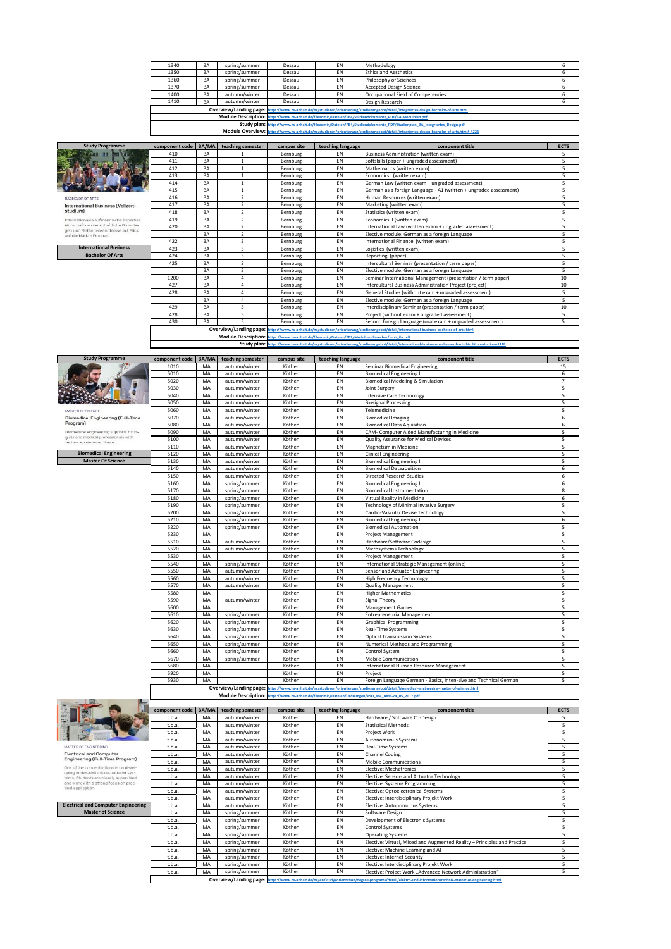| 1340 | BA | spring/summer | Dessau | EN                                                                                                       | Methodology                                                                                                                                                                                                                    |  |  |  |  |
|------|----|---------------|--------|----------------------------------------------------------------------------------------------------------|--------------------------------------------------------------------------------------------------------------------------------------------------------------------------------------------------------------------------------|--|--|--|--|
| 1350 | BA | spring/summer | Dessau | EN                                                                                                       | <b>Ethics and Aesthetics</b>                                                                                                                                                                                                   |  |  |  |  |
| 1360 | BA | spring/summer | Dessau | EN                                                                                                       | Philosophy of Sciences                                                                                                                                                                                                         |  |  |  |  |
| 1370 | BA | spring/summer | Dessau | EN                                                                                                       | Accepted Design Science                                                                                                                                                                                                        |  |  |  |  |
| 1400 | BA | autumn/winter | Dessau | EN                                                                                                       | Occupational Field of Competencies                                                                                                                                                                                             |  |  |  |  |
| 1410 | BA | autumn/winter | Dessau | EN                                                                                                       | Design Research                                                                                                                                                                                                                |  |  |  |  |
|      |    |               |        |                                                                                                          | Overview/Landing page: https://www.hs-anhalt.de/nc/studieren/orientierung/studienangebot/detail/integriertes-design-bachelor-of-arts.html                                                                                      |  |  |  |  |
|      |    |               |        | Module Description: https://www.hs-anhalt.de/fileadmin/Dateien/FB4/Studiendokumente_PDF/BA-Modulplan.pdf |                                                                                                                                                                                                                                |  |  |  |  |
|      |    |               |        |                                                                                                          | Christian Manuel Discovered to the contract of the contract of the contract of the contract of the contract of the contract of the contract of the contract of the contract of the contract of the contract of the contract of |  |  |  |  |

Study plan: https://www.hs-anhalt.de/fileadmin/Dateien/FB4/Studiendokumente PDF/Studienplan BA Integriertes Design.pdf<br>Module Overview: [https://www.hs-anhalt.de/n](https://www.hs-anhalt.de/nc/studieren/orientierung/studienangebot/detail/integriertes-design-bachelor-of-arts.html#-4226)c/studieren/orientierung/studienangebot/detail/integriertes-

| <b>Study Programme</b>                                                        | component code   BA/MA |    | teaching semester        | campus site | teaching language                                                                                                                                  | component title                                                                                                                              | <b>ECTS</b> |  |  |
|-------------------------------------------------------------------------------|------------------------|----|--------------------------|-------------|----------------------------------------------------------------------------------------------------------------------------------------------------|----------------------------------------------------------------------------------------------------------------------------------------------|-------------|--|--|
|                                                                               | 410                    | BA |                          | Bernburg    | EN                                                                                                                                                 | Business Administration (written exam)                                                                                                       | 5           |  |  |
|                                                                               | 411                    | BA |                          | Bernburg    | EN                                                                                                                                                 | Softskills (paper + ungraded assessment)                                                                                                     | 5           |  |  |
|                                                                               | 412                    | BA |                          | Bernburg    | EN                                                                                                                                                 | Mathematics (written exam)                                                                                                                   | 5           |  |  |
|                                                                               | 413                    | BA | -1                       | Bernburg    | EN                                                                                                                                                 | Economics I (written exam)                                                                                                                   | 5           |  |  |
|                                                                               | 414                    | BA | -1                       | Bernburg    | EN                                                                                                                                                 | German Law (written exam + ungraded assessment)                                                                                              | 5           |  |  |
|                                                                               | 415                    | BA |                          | Bernburg    | EN                                                                                                                                                 | German as a foreign Language - A1 (written + ungraded assessment)                                                                            | 5           |  |  |
| <b>BACHELOR OF ARTS</b>                                                       | 416                    | BA | $\overline{2}$           | Bernburg    | EN                                                                                                                                                 | Human Resources (written exam)                                                                                                               | 5           |  |  |
| International Business (Vollzeit-                                             | 417                    | BA | $\overline{\phantom{a}}$ | Bernburg    | EN                                                                                                                                                 | Marketing (written exam)                                                                                                                     | 5           |  |  |
| studium)                                                                      | 418                    | BA | $\mathcal{P}$            | Bernburg    | EN                                                                                                                                                 | Statistics (written exam)                                                                                                                    | 5           |  |  |
| Internationale kaufmännische Expertise:                                       | 419                    | BA | $\overline{2}$           | Bernburg    | EN                                                                                                                                                 | Economics II (written exam)                                                                                                                  | 5           |  |  |
| Wirtschaftswissenschaftliche Grundla-<br>gen und Methodenkenntnisse mit Blick | 420                    | BA | $\overline{\phantom{a}}$ | Bernburg    | EN                                                                                                                                                 | International Law (written exam + ungraded assessment)                                                                                       | 5           |  |  |
| auf die Märkte Europas.                                                       |                        | BA | $\overline{\phantom{a}}$ | Bernburg    | EN                                                                                                                                                 | Elective module: German as a foreign Language                                                                                                | 5           |  |  |
|                                                                               | 422                    | BA | 3                        | Bernburg    | EN                                                                                                                                                 | International Finance (written exam)                                                                                                         | 5           |  |  |
| <b>International Business</b>                                                 | 423                    | BA | 3                        | Bernburg    | EN                                                                                                                                                 | Logistics (written exam)                                                                                                                     | 5           |  |  |
| <b>Bachelor Of Arts</b>                                                       | 424                    | BA | 3                        | Bernburg    | EN                                                                                                                                                 | Reporting (paper)                                                                                                                            | 5           |  |  |
|                                                                               | 425                    | BA | 3                        | Bernburg    | EN                                                                                                                                                 | Intercultural Seminar (presentation / term paper)                                                                                            | 5           |  |  |
|                                                                               |                        | BA | 3                        | Bernburg    | EN                                                                                                                                                 | Elective module: German as a foreign Language                                                                                                | 5           |  |  |
|                                                                               | 1200                   | BA | 4                        | Bernburg    | EN                                                                                                                                                 | Seminar International Management (presentation / term paper)                                                                                 | 10          |  |  |
|                                                                               | 427                    | BA | 4                        | Bernburg    | EN                                                                                                                                                 | Intercultural Business Administration Project (project)                                                                                      | 10          |  |  |
|                                                                               | 428                    | BA | $\lambda$                | Bernburg    | EN                                                                                                                                                 | General Studies (without exam + ungraded assessment)                                                                                         | 5           |  |  |
|                                                                               |                        | BA | 4                        | Bernburg    | EN                                                                                                                                                 | Elective module: German as a foreign Language                                                                                                | 5           |  |  |
|                                                                               | 429                    | BA | 5                        | Bernburg    | EN                                                                                                                                                 | Interdisciplinary Seminar (presentation / term paper)                                                                                        | 10          |  |  |
|                                                                               | 428                    | BA | 5                        | Bernburg    | EN                                                                                                                                                 | Project (without exam + ungraded assessment)                                                                                                 | 5           |  |  |
|                                                                               | 430                    | BA | 5                        | Bernburg    | EN                                                                                                                                                 | Second foreign Language (oral exam + ungraded assessment)                                                                                    | 5           |  |  |
|                                                                               |                        |    |                          |             |                                                                                                                                                    | Overview/Landing page: https://www.hs-anhalt.de/nc/studieren/orientierung/studienangebot/detail/international-business-bachelor-of-arts.html |             |  |  |
|                                                                               |                        |    |                          |             | Module Description: https://www.hs-anhalt.de/fileadmin/Dateien/FB2/Modulhandbuecher/mhb_ibs.pdf                                                    |                                                                                                                                              |             |  |  |
|                                                                               |                        |    |                          |             | Study plan: https://www.hs-anhalt.de/nc/studieren/orientierung/studienangebot/detail/international-business-bachelor-of-arts.html#das-studium-1118 |                                                                                                                                              |             |  |  |

**Module Description: [https://www.hs-anhalt.de/f](https://www.hs-anhalt.de/fileadmin/Dateien/FB2/Modulhandbuecher/mhb_ibs.pdf)ileadmin/Dateien/FB2/Modulhandbuecher/mhb\_ibs.pdf Study plan:** https://www.hs-anhalt.detail

| <b>Study Programme</b>                                                         | component code   BA/MA |    | teaching semester | campus site | teaching language | component title                                                                                                                               | <b>ECTS</b>    |
|--------------------------------------------------------------------------------|------------------------|----|-------------------|-------------|-------------------|-----------------------------------------------------------------------------------------------------------------------------------------------|----------------|
|                                                                                | 1010                   | MA | autumn/winter     | Köthen      | EN                | Seminar Biomedical Engineering                                                                                                                | 15             |
|                                                                                | 5010                   | MA | autumn/winter     | Köthen      | EN                | <b>Biomedical Engineering I</b>                                                                                                               | 6              |
|                                                                                | 5020                   | MA | autumn/winter     | Köthen      | EN                | <b>Biomedical Modeling &amp; Simulation</b>                                                                                                   | $\overline{7}$ |
|                                                                                | 5030                   | MA | autumn/winter     | Köthen      | EN                | Joint Surgery                                                                                                                                 | 5              |
|                                                                                | 5040                   | MA | autumn/winter     | Köthen      | EN                | <b>Intensive Care Technology</b>                                                                                                              | 5              |
|                                                                                | 5050                   | MA | autumn/winter     | Köthen      | EN                | <b>Biosignal Processing</b>                                                                                                                   | 5              |
| MASTER OF SCIENCE                                                              | 5060                   | MA | autumn/winter     | Köthen      | EN                | Telemedicine                                                                                                                                  | 5              |
| <b>Blomedical Engineering (Full-Time</b>                                       | 5070                   | MA | autumn/winter     | Köthen      | EN                | <b>Biomedical Imaging</b>                                                                                                                     | 6              |
| Program)                                                                       | 5080                   | MA | autumn/winter     | Köthen      | EN                | <b>Biomedical Data Aquisition</b>                                                                                                             | 6              |
| Biomedical engineering supports biolo-<br>gists and medical professionals with | 5090                   | MA | autumn/winter     | Köthen      | EN                | CAM- Computer Aided Manufacturing in Medicine                                                                                                 | 5              |
| technical solutions. These                                                     | 5100                   | MA | autumn/winter     | Köthen      | EN                | Quality Assurance for Medical Devices                                                                                                         | 5              |
|                                                                                | 5110                   | MA | autumn/winter     | Köthen      | EN                | Magnetism in Medicine                                                                                                                         | 5              |
| <b>Biomedical Engineering</b>                                                  | 5120                   | MA | autumn/winter     | Köthen      | EN                | <b>Clinical Engineering</b>                                                                                                                   | 5              |
| <b>Master Of Science</b>                                                       | 5130                   | MA | autumn/winter     | Köthen      | EN                | <b>Biomedical Engineering I</b>                                                                                                               | 5              |
|                                                                                | 5140                   | MA | autumn/winter     | Köthen      | EN                | <b>Biomedical Dataaquition</b>                                                                                                                | 6              |
|                                                                                | 5150                   | MA | autumn/winter     | Köthen      | EN                | <b>Directed Research Studies</b>                                                                                                              | 6              |
|                                                                                | 5160                   | MA | spring/summer     | Köthen      | EN                | <b>Biomedical Engineering II</b>                                                                                                              | 6              |
|                                                                                | 5170                   | MA | spring/summer     | Köthen      | EN                | <b>Biomedical Instrumentation</b>                                                                                                             | 8              |
|                                                                                | 5180                   | MA | spring/summer     | Köthen      | EN                | Virtual Reality in Medicine                                                                                                                   | 6              |
|                                                                                | 5190                   | MA | spring/summer     | Köthen      | EN                | Technology of Minimal Invasive Surgery                                                                                                        | 5              |
|                                                                                | 5200                   | MA | spring/summer     | Köthen      | EN                | Cardio-Vascular Devise Technology                                                                                                             | 5              |
|                                                                                | 5210                   | MA | spring/summer     | Köthen      | EN                | <b>Biomedical Engineering II</b>                                                                                                              | 6              |
|                                                                                | 5220                   | MA | spring/summer     | Köthen      | EN                | <b>Biomedical Automation</b>                                                                                                                  | 5              |
|                                                                                | 5230                   | MA |                   | Köthen      | EN                | <b>Project Management</b>                                                                                                                     | 5              |
|                                                                                | 5510                   | MA | autumn/winter     | Köthen      | EN                | Hardware/Software Codesign                                                                                                                    | 5              |
|                                                                                | 5520                   | MA | autumn/winter     | Köthen      | EN                | Microsystems Technology                                                                                                                       | 5              |
|                                                                                | 5530                   | MA |                   | Köthen      | EN                | <b>Project Management</b>                                                                                                                     | 5              |
|                                                                                | 5540                   | MA | spring/summer     | Köthen      | EN                | International Strategic Management (online)                                                                                                   | 5              |
|                                                                                | 5550                   | MA | autumn/winter     | Köthen      | EN                | Sensor and Actuator Engineering                                                                                                               | 5              |
|                                                                                | 5560                   | MA | autumn/winter     | Köthen      | EN                | <b>High Frequency Technology</b>                                                                                                              | 5              |
|                                                                                | 5570                   | MA | autumn/winter     | Köthen      | EN                | <b>Quality Management</b>                                                                                                                     | 5              |
|                                                                                | 5580                   | MA |                   | Köthen      | EN                | <b>Higher Mathematics</b>                                                                                                                     | 5              |
|                                                                                | 5590                   | MA | autumn/winter     | Köthen      | EN                | <b>Signal Theory</b>                                                                                                                          | 5              |
|                                                                                | 5600                   | MA |                   | Köthen      | EN                | <b>Management Games</b>                                                                                                                       | 5              |
|                                                                                | 5610                   | MA | spring/summer     | Köthen      | EN                | <b>Entrepreneurial Management</b>                                                                                                             | 5              |
|                                                                                | 5620                   | MA | spring/summer     | Köthen      | EN                | <b>Graphical Programming</b>                                                                                                                  | 5              |
|                                                                                | 5630                   | MA | spring/summer     | Köthen      | EN                | <b>Real-Time Systems</b>                                                                                                                      | 5              |
|                                                                                | 5640                   | MA | spring/summer     | Köthen      | EN                | <b>Optical Transmission Systems</b>                                                                                                           | 5              |
|                                                                                | 5650                   | MA | spring/summer     | Köthen      | EN                | Numerical Methods and Programming                                                                                                             | 5              |
|                                                                                | 5660                   | MA | spring/summer     | Köthen      | EN                | Control System                                                                                                                                | 5              |
|                                                                                | 5670                   | MA | spring/summer     | Köthen      | EN                | Mobile Communication                                                                                                                          | 5              |
|                                                                                | 5680                   | MA |                   | Köthen      | EN                | International Human Resource Management                                                                                                       | 5              |
|                                                                                | 5920                   | MA |                   | Köthen      | EN                | Project                                                                                                                                       | 5              |
|                                                                                | 5930                   | MA |                   | Köthen      | EN                | Foreign Language German - Basics, Inten-sive and Technical German                                                                             | 5              |
|                                                                                |                        |    |                   |             |                   | Overview/Landing page: https://www.hs-anhalt.de/nc/studieren/orientierung/studienangebot/detail/biomedical-engineering-master-of-science.html |                |
|                                                                                |                        |    |                   |             |                   | Module Description: Inttos://www.hs-anhalt.de/fileadmin/Dateien/Ordnungen/PSO_MA_BME-24_05_2017.pdf                                           |                |



Г

Electrical and Computer<br>Engineering (Full-Time Program) One of the concentrations is on developing embedded microcontroller systems. Students are closely supervised and work with a strong focus on practical application.

**component code | BA/MA teaching semester campus site teaching language component title component title**<br> **component title component in the state of the state of the state of the component title**<br> **component ti** t.b.a. MA autumn/winter Köthen EN Hardware / Software Co-Design 5 t.b.a. MA autumn/winter Köthen EN Statistical Methods 5 t.b.a. | MA | autumn/winter | Köthen | EN | Project Work | S t.b.a. MA autumn/winter Köthen EN Autonomuous Systems 5 t.b.a. MA autumn/winter Köthen EN Real-Time Systems 5 t.b.a. MA autumn/winter Köthen EN Channel Coding 5 t.b.a. MA autumn/winter Köthen EN Mobile Communications<br>t.b.a. MA autumn/winter Köthen EN Elective: Mechanications 50 t.b.a. MA autumn/winter Köthen EN Elective: Mechatronics<br>t.b.a. MA autumn/winter Köthen EN Elective: Sensor- and autumn/winter Köthen EN Elective: Systems Progr t.b.a. MA autumn/winter Köthen EN Elective: Sensor- and Actuator Technology 5 t.b.a. MA autumn/winter Köthen EN Elective: Systems Programming 5 t.b.a. MA autumn/winter Köthen EN Elective: Systems Programming<br>
t.b.a. MA autumn/winter Köthen EN Elective: Optoelectronical Systems<br>
Elective: Optoelectronical Systems t.b.a. MA autumn/winter Köthen EN Elective: Interdisciplinary Projekt Work t.b.a. MA autumn/winter Köthen EN Elective: Autonomuous Systems<br>1996 - MA autumn/winter Köthen EN Software Design t.b.a. MA autumn/winter Köthen EN Elective: Autonomuous Systems 5 t.b.a. MA spring/summer Köthen EN Software Design 5 t.b.a. MA spring/summer Köthen EN Development of Electronic Systems 5 t.b.a. MA spring/summer Köthen EN Control Systems 5 t.b.a. | MA | spring/summer | Köthen | EN | Operating Systems | 5 t.b.a. MA spring/summer Köthen EN Elective: Virtual, Mixed and Augmented Reality – Principles and Practice 5<br>1.b.a. MA spring/summer Köthen EN Elective: Internet Security<br>1.b.a. MA spring/summer Köthen EN Elective: Interne t.b.a. MA spring/summer Köthen EN Elective: Machine Learning and AI 5<br>t.b.a. MA spring/summer Köthen EN Elective: Internet Security 6 t.b.a. MA spring/summer Köthen EN Elective: Interdisciplinary Projekt Work<br>t.b.a. MA spring/summer Köthen EN Elective: Project Work "Advanced Network Administration" 5 **COVER OVERVIEW/SUMMER**<br> **MA** spring/summer<br> **Overview/Landing page:** 

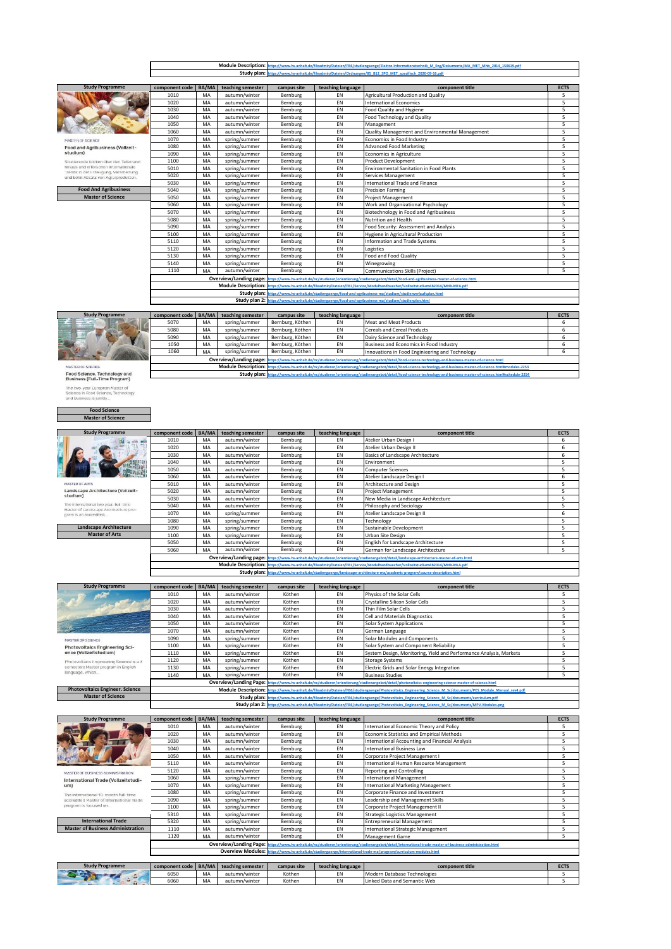| Photovoltaics Engineering Science is a 3 | 1120                   | МA    | spring/summer               | Kotnen      | ΕN                | Storage Systems                                                                                                                                            | э.          |
|------------------------------------------|------------------------|-------|-----------------------------|-------------|-------------------|------------------------------------------------------------------------------------------------------------------------------------------------------------|-------------|
| semesters Master program in English      | 1130                   | MA    | spring/summer               | Köthen      | EN                | Electric Grids and Solar Energy Integration                                                                                                                | 5           |
| language, which                          | 1140                   | MA    | spring/summer               | Köthen      | EN                | <b>Business Studies</b>                                                                                                                                    | 5           |
|                                          |                        |       |                             |             |                   | Overview/Landing Page: https://www.hs-anhalt.de/nc/studieren/orientierung/studienangebot/detail/photovoltaics-engineering-science-master-of-science.html   |             |
| <b>Photovoltaics Engineer. Science</b>   |                        |       | <b>Module Description:</b>  |             |                   | https://www.hs-anhalt.de/fileadmin/Dateien/FB6/studiengaenge/Photovoltaics Engineering Science M Sc/documents/PES Module Manual rev4.pdf                   |             |
| <b>Master of Science</b>                 |                        |       |                             |             |                   | Study plan: https://www.hs-anhalt.de/fileadmin/Dateien/FB6/studiengaenge/Photovoltaics Engineering Science M Sc/documents/curriculum.odf                   |             |
|                                          |                        |       |                             |             |                   | Study plan 2: https://www.hs-anhalt.de/fileadmin/Dateien/FB6/studiengaenge/Photovoltaics Engineering Science M Sc/documents/MPV-Modules.ong                |             |
|                                          |                        |       |                             |             |                   |                                                                                                                                                            |             |
| <b>Study Programme</b>                   | component code         | BA/MA | teaching semester           | campus site | teaching language | component title                                                                                                                                            | <b>ECTS</b> |
|                                          | 1010                   | MA    | autumn/winter               | Bernburg    | EN                | International Economic Theory and Policy                                                                                                                   | 5           |
|                                          | 1020                   | MA    | autumn/winter               | Bernburg    | EN                | Economic Statistics and Empirical Methods                                                                                                                  | 5           |
|                                          | 1030                   | MA    | autumn/winter               | Bernburg    | EN                | International Accounting and Financial Analysis                                                                                                            | 5           |
|                                          | 1040                   | MA    | autumn/winter               | Bernburg    | EN                | <b>International Business Law</b>                                                                                                                          | 5           |
|                                          | 1050                   | MA    | autumn/winter               | Bernburg    | EN                | Corporate Project Management I                                                                                                                             | 5           |
|                                          | 5110                   | MA    | autumn/winter               | Bernburg    | EN                | International Human Resource Management                                                                                                                    | 5           |
| MASTER OF BUSINESS ADMINISTRATION        | 5120                   | MA    | autumn/winter               | Bernburg    | EN                | <b>Reporting and Controlling</b>                                                                                                                           | 5           |
| International Trade (Vollzeitstudi-      | 1060                   | MA    | spring/summer               | Bernburg    | EN                | <b>International Management</b>                                                                                                                            | 5           |
| um)                                      | 1070                   | MA    | spring/summer               | Bernburg    | EN                | <b>International Marketing Management</b>                                                                                                                  | 5           |
| The International 18-month full-time     | 1080                   | MA    | spring/summer               | Bernburg    | EN                | Corporate Finance and Investment                                                                                                                           | 5           |
| accredited Master of International Trade | 1090                   | MA    | spring/summer               | Bernburg    | EN                | Leadership and Management Skills                                                                                                                           | 5           |
| program is focused on                    | 1100                   | MA    | spring/summer               | Bernburg    | EN                | Corporate Project Management II                                                                                                                            | 5           |
|                                          | 5310                   | MA    | spring/summer               | Bernburg    | EN                | <b>Strategic Logistics Management</b>                                                                                                                      | 5           |
| <b>International Trade</b>               | 5320                   | MA    | spring/summer               | Bernburg    | EN                | <b>Entrepreneurial Management</b>                                                                                                                          | 5           |
| <b>Master of Business Administration</b> | 1110                   | MA    | autumn/winter               | Bernburg    | EN                | International Strategic Management                                                                                                                         | 5           |
|                                          | 1120                   | MA    | autumn/winter               | Bernburg    | EN                | Management Game                                                                                                                                            | 5           |
|                                          |                        |       |                             |             |                   | Overview/Landing Page: https://www.hs-anhalt.de/nc/studieren/orientierung/studienangebot/detail/international-trade-master-of-business-administration.html |             |
|                                          |                        |       | <b>Overview Modules: In</b> |             |                   | https://www.hs-anhalt.de/studiengaenge/international-trade-ma/program/curriculum-modules.html                                                              |             |
|                                          |                        |       |                             |             |                   |                                                                                                                                                            |             |
| <b>Study Programme</b>                   | component code   BA/MA |       | teaching semester           | campus site | teaching language | component title                                                                                                                                            | <b>ECTS</b> |
|                                          | 6050                   | MA    | autumn/winter               | Köthen      | EN                | Modern Database Technologies                                                                                                                               | 5           |
|                                          | 6060                   | MA    | autumn/winter               | Köthen      | EN                | Linked Data and Semantic Web                                                                                                                               | 5           |
|                                          |                        |       |                             |             |                   |                                                                                                                                                            |             |

| <b>Study Programme</b>                   | component code BA/MA |    | teaching semester | campus site | teaching language | component title                                                                                                                                              | <b>ECTS</b> |
|------------------------------------------|----------------------|----|-------------------|-------------|-------------------|--------------------------------------------------------------------------------------------------------------------------------------------------------------|-------------|
|                                          | 1010                 | MA | autumn/winter     | Köthen      | EN                | Physics of the Solar Cells                                                                                                                                   |             |
|                                          | 1020                 | MA | autumn/winter     | Köthen      | EN                | Crystalline Silicon Solar Cells                                                                                                                              |             |
|                                          | 1030                 | MA | autumn/winter     | Köthen      | EN                | Thin Film Solar Cells                                                                                                                                        |             |
|                                          | 1040                 | MA | autumn/winter     | Köthen      | EN                | Cell and Materials Diagnostics                                                                                                                               |             |
|                                          | 1050                 | MA | autumn/winter     | Köthen      | EN                | Solar System Applications                                                                                                                                    |             |
|                                          | 1070                 | MA | autumn/winter     | Köthen      | EN                | German Language                                                                                                                                              |             |
| MASTER OF SCIENCE                        | 1090                 | MA | spring/summer     | Köthen      | EN                | Solar Modules and Components                                                                                                                                 |             |
| Photovoltaics Engineering Sci-           | 1100                 | MA | spring/summer     | Köthen      | EN                | Solar System and Component Reliability                                                                                                                       |             |
| ence (Vollzeitstudium)                   | 1110                 | MA | spring/summer     | Köthen      | EN                | System Design, Monitoring, Yield and Performance Analysis, Markets                                                                                           |             |
| Photovoltaics Engineering Science is a 3 | 1120                 | MA | spring/summer     | Köthen      | EN                | <b>Storage Systems</b>                                                                                                                                       |             |
| semesters Master program in English      | 1130                 | MA | spring/summer     | Köthen      | EN                | Electric Grids and Solar Energy Integration                                                                                                                  |             |
| language, which                          | 1140                 | MA | spring/summer     | Köthen      | EN                | <b>Business Studies</b>                                                                                                                                      |             |
|                                          |                      |    |                   |             |                   | Overview/Landing Page: https://www.hs-anhalt.de/nc/studieren/orientierung/studienangebot/detail/photovoltaics-engineering-science-master-of-science.html     |             |
| <b>Photovoltaics Engineer, Science</b>   |                      |    |                   |             |                   | Module Description: https://www.hs-aphalt.de/fileadmin/Datejen/FR6/studiengaenge/Photovoltaics Engineering Science M Sc/documents/PFS Module Manual rev4.ndf |             |

| <b>Study Programme</b>                                                         | component code BA/MA |    | teaching semester | campus site | teaching language                                                                                                                          | component title                     | <b>ECTS</b> |  |  |
|--------------------------------------------------------------------------------|----------------------|----|-------------------|-------------|--------------------------------------------------------------------------------------------------------------------------------------------|-------------------------------------|-------------|--|--|
|                                                                                | 1010                 | MA | autumn/winter     | Bernburg    | EN                                                                                                                                         | Atelier Urban Design I              | 6           |  |  |
|                                                                                | 1020                 | MA | autumn/winter     | Bernburg    | EN                                                                                                                                         | Atelier Urban Design II             | 6           |  |  |
|                                                                                | 1030                 | MA | autumn/winter     | Bernburg    | EN                                                                                                                                         | Basics of Landscape Architecture    | 6           |  |  |
|                                                                                | 1040                 | MA | autumn/winter     | Bernburg    | EN                                                                                                                                         | Environment                         | 5           |  |  |
|                                                                                | 1050                 | MA | autumn/winter     | Bernburg    | EN                                                                                                                                         | Computer Sciences                   | 5           |  |  |
|                                                                                | 1060                 | MA | autumn/winter     | Bernburg    | EN                                                                                                                                         | Atelier Landscape Design I          | 6           |  |  |
| <b>MASTER OF ARTS</b>                                                          | 5010                 | MA | autumn/winter     | Bernburg    | EN                                                                                                                                         | Architecture and Design             |             |  |  |
| Landscape Architecture (Vollzeit-                                              | 5020                 | MA | autumn/winter     | Bernburg    | EN                                                                                                                                         | <b>Project Management</b>           |             |  |  |
| studium)                                                                       | 5030                 | MA | autumn/winter     | Bernburg    | EN                                                                                                                                         | New Media in Landscape Architecture |             |  |  |
| The international two year, full-time<br>Master of Landscape Architecture pro- | 5040                 | MA | autumn/winter     | Bernburg    | EN                                                                                                                                         | Philosophy and Sociology            |             |  |  |
| gram is an accredited.                                                         | 1070                 | MA | spring/summer     | Bernburg    | EN                                                                                                                                         | Atelier Landscape Design II         | 6           |  |  |
|                                                                                | 1080                 | MA | spring/summer     | Bernburg    | EN                                                                                                                                         | Technology                          |             |  |  |
| Landscape Architecture                                                         | 1090                 | MA | spring/summer     | Bernburg    | EN                                                                                                                                         | Sustainable Development             |             |  |  |
| <b>Master of Arts</b>                                                          | 1100                 | MA | spring/summer     | Bernburg    | EN                                                                                                                                         | Urban Site Design                   |             |  |  |
|                                                                                | 5050                 | MA | autumn/winter     | Bernburg    | EN                                                                                                                                         | English for Landscape Architecture  | 5           |  |  |
|                                                                                | 5060                 | MA | autumn/winter     | Bernburg    | EN                                                                                                                                         | German for Landscape Architecture   |             |  |  |
|                                                                                |                      |    |                   |             | Overview/Landing page: https://www.hs-anhalt.de/nc/studieren/orientierung/studienangebot/detail/landscape-architecture-master-of-arts.html |                                     |             |  |  |
|                                                                                |                      |    |                   |             | Module Description: https://www.hs-anhalt.de/fileadmin/Dateien/FB1/Service/Modulhandbuecher/VollzeitstudiumAb2014/MHB-MLA.pdf              |                                     |             |  |  |
|                                                                                |                      |    |                   |             | Study plan: https://www.hs-anhalt.de/studiengaenge/landscape-architecture-ma/academic-program/course-description.html                      |                                     |             |  |  |

**component code BA/MA teaching semester campus site teaching language component title ECTS**

5020 MA spring/summer Bernburg EN Services Management 5 5030 MA spring/summer Bernburg EN International Trade and Finance 5 5040 | MA | spring/summer | Bernburg | EN | Precision Farming | 5000 | ST | 5 5050 | MA | spring/summer | Bernburg | EN | Project Management | S

5120 MA spring/summer Bernburg EN Logistics 5 5130 MA spring/summer Bernburg EN Food and Food Quality 5 5140 MA spring/summer Bernburg EN Winegrowing 5

ps://www.hs-anhalt.de/nc/studieren/orientierung/studienangebot/detail/food-and-agribusiness-master-of-science.h

**component code BA/MA teaching semester campus site teaching language component title ECTS**

Study plan: [https://www.hs-anhalt.de/s](https://www.hs-anhalt.de/studiengaenge/food-and-agribusiness-ma/studium/studienverlaufsplan.html)tudiengaenge/food-and-agribusiness-ma/studium/studienverlaufsplan.html<br>Study plan 2: https://www.hs-anhalt.de/studiengaenge/food-and-agribusiness-ma/studium/studienplan.html

**Module Description: [https://www.hs-anhalt.de/f](https://www.hs-anhalt.de/fileadmin/Dateien/FB1/Service/Modulhandbuecher/VollzeitstudiumAb2014/MHB-MFA.pdf)ileadmin/Dateien/FB1/Service/Modulhandbuecher/VollzeitstudiumAb2014/MHB-MFA.pdf**

Study plan: [https://www.hs-anhalt.de/n](https://www.hs-anhalt.de/nc/studieren/orientierung/studienangebot/detail/food-science-technology-and-business-master-of-science.html#schedule-2254)c/studieren/orientierung/studienangebot/detail/food-science-technology-and-b

5080 MA spring/summer Bernburg, Köthen EN Cereals and Cereal Products<br>5090 MA spring/summer Bernburg, Köthen EN Dairy Science and Technology 6

Overview/Landing page: [https://www.hs-anhalt.de/n](https://www.hs-anhalt.de/nc/studieren/orientierung/studienangebot/detail/food-science-technology-and-business-master-of-science.html#modules-2253)c/studieren/orientierung/studienangebot/detail/food-science-technology-and-business-master-of-science.html Module Description: https://www.hs-anhalt.de/nc/studieren/orientie

od Security: Assessment and Analysis

MFA 1020 MA autumn/winter Bernburg EN International Economics 5

1060 MA autumn/winter Bernburg LEN Quality Management and Environmental Management<br>1060 MA spring/summer Bernburg LEN Economics in Food Industry

1010 MA autumn/winter Bernburg EN Agricultural Production and Quality<br>1020 MA autumn/winter Bernburg EN International Economics

1070 | MA | spring/summer | Bernburg | EN | Economics in Food Industry 1080 MA spring/summer Bernburg EN Advanced Food Marketing<br>1090 MA spring/summer Bernburg EN Economics in Agriculture 1090 MA spring/summer Bernburg EN Economics in Agriculture<br>1090 MA spring/summer Bernburg EN Product Development 1100 | MA | spring/summer | Bernburg | EN | Product Developmen

1030 MA autumn/winter Bernburg EN Food Quality and Hygier<br>
104 autumn/winter Bernburg EN Food Quality and Hygier<br>
104 autumn/winter Bernburg EN Food Technology and Qu 1040 | MA | autumn/winter | Bernburg | EN | Food Technology and Quality 1050 MA autumn/winter Bernburg EN Management<br>1060 MA autumn/winter Bernburg EN Quality Manag

5010 MA spring/summer Bernburg EN Environmental Sanitation in Food Plants<br>5020 MA spring/summer Bernburg EN Services Management<br>5030 MA spring/summer Bernburg EN International Trade and Finance

-1900 MA spring/summer Bernburg EN Vork and Organizational Psychology<br>1960 MA spring/summer Bernburg EN Work and Organizational Psychology<br>1970 MA spring/summer Bernburg EN Biotechnology in Food and Agribusin 5070 MA spring/summer Bernburg EN Biotechnology in Food and Agribusiness<br>5080 MA spring/summer Bernburg EN Nutrition and Health

5100 MA spring/summer Bernburg EN Hygiene in Agricultural Production<br>5110 MA spring/summer Bernburg EN Information and Trade Systems 5110 MA spring/summer Bernburg EN Information and Trade System Information and Trade System Information and Trade Systems For System Information and Trade Systems For System Information and Trade Systems Information and Tr

1110 MA autumn/winter Bernburg EN Communications Skills (Project)<br> **Overview/Landing page:** https://www.hs-anhalt.de/nc/studieren/orientierung/studienangebot/detail/food-and-agribusines:

5070 MA spring/summer Bernburg, Köthen EN Meat and Meat Products

MA spring/summer Bernburg, Köthen EN Dairy Science and Technology 61<br>
MA spring/summer Bernburg, Köthen EN Business and Economics 1050 MA spring/summer Bernburg, Köthen EN Business and Economics in Food Industry 1060 MA spring/summer Bernburg, Köthen EN Innovations in Food Enginieering and Technology

5080 MA spring/summer Bernburg EN<br>5090 MA spring/summer Bernburg EN<br>5100 MA spring/summer Bernburg EN

**Module Description: Study plan:** 

**Study Programme**

 $\|\epsilon$ 

160

**Study Program** 

**Sec CONTRACTOR IASTER OF SCIENCE** Food and Agribusiness (Vollzeit-<br>studium) staatierende blicken über den Tellerrand<br>Stindiss und erforschen Internationale<br>Trends in der Erzeugung, Verarbeitung<br>und beim Absatz von Agrarprodukten,

**Food And Agribusiness Master of Science**

| Food Science, Technology and        |
|-------------------------------------|
| <b>Business (Full-Time Program)</b> |

MASTER OF SCIENCE

 $\mathcal{L}/\mathbb{A}$ 

| pusiness (Full-Time Program)    |  |  |
|---------------------------------|--|--|
| The two-year European Master of |  |  |

| Business (Full-Time Program)    |
|---------------------------------|
| The two-year European Master of |

| Business (Full-Time Program)     |
|----------------------------------|
| The bury-year European Macler of |

| Business (Full-Time Program)                   |
|------------------------------------------------|
| This faces, contact Linearence and Montieur of |

| <b>Business (Full-Time Program)</b>            |  |
|------------------------------------------------|--|
| They begin a more finances to consider the co- |  |

| Business (Full-Time Program)    |  |
|---------------------------------|--|
| The two-year European Master of |  |

|                                        | The two-year European Master of |  |
|----------------------------------------|---------------------------------|--|
| Professor In Ford Police on Technology |                                 |  |

| The two-year European Master of     |  |
|-------------------------------------|--|
| Science In Food Science, Technology |  |

|                         | The two-year European Master of     |
|-------------------------|-------------------------------------|
|                         | Science In Food Science, Technology |
| and Rusiness is initify |                                     |

| Science In Food Science, Technology |  |
|-------------------------------------|--|
| and Business is jointly             |  |

| <b>Food Science</b> |  |
|---------------------|--|

**Food Science Master of Science**

 $\blacksquare$